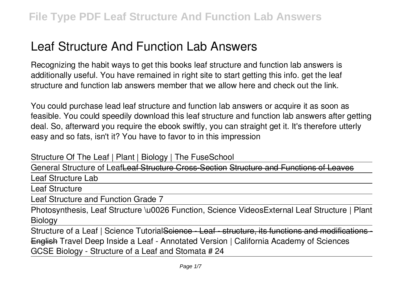# **Leaf Structure And Function Lab Answers**

Recognizing the habit ways to get this books **leaf structure and function lab answers** is additionally useful. You have remained in right site to start getting this info. get the leaf structure and function lab answers member that we allow here and check out the link.

You could purchase lead leaf structure and function lab answers or acquire it as soon as feasible. You could speedily download this leaf structure and function lab answers after getting deal. So, afterward you require the ebook swiftly, you can straight get it. It's therefore utterly easy and so fats, isn't it? You have to favor to in this impression

Structure Of The Leaf | Plant | Biology | The FuseSchool

General Structure of LeafLeaf Structure Cross-Section Structure and Functions of L

Leaf Structure Lab

Leaf Structure

Leaf Structure and Function Grade 7

Photosynthesis, Leaf Structure \u0026 Function, Science Videos*External Leaf Structure | Plant Biology*

Structure of a Leaf | Science Tutorial<del>Science - Leaf - structure, its functions and modifications</del> English Travel Deep Inside a Leaf - Annotated Version | California Academy of Sciences **GCSE Biology - Structure of a Leaf and Stomata # 24**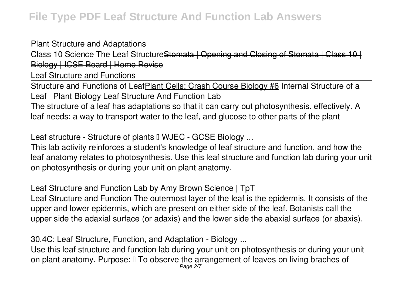## Plant Structure and Adaptations

Class 10 Science The Leaf Structure<del>Stomata | Opening and Closing of Stomata |</del> Biology | ICSE Board | Home Revise

Leaf Structure and Functions

Structure and Functions of LeafPlant Cells: Crash Course Biology #6 Internal Structure of a Leaf | Plant Biology **Leaf Structure And Function Lab**

The structure of a leaf has adaptations so that it can carry out photosynthesis. effectively. A leaf needs: a way to transport water to the leaf, and glucose to other parts of the plant

Leaf structure - Structure of plants II WJEC - GCSE Biology ...

This lab activity reinforces a student's knowledge of leaf structure and function, and how the leaf anatomy relates to photosynthesis. Use this leaf structure and function lab during your unit on photosynthesis or during your unit on plant anatomy.

**Leaf Structure and Function Lab by Amy Brown Science | TpT**

Leaf Structure and Function The outermost layer of the leaf is the epidermis. It consists of the upper and lower epidermis, which are present on either side of the leaf. Botanists call the upper side the adaxial surface (or adaxis) and the lower side the abaxial surface (or abaxis).

**30.4C: Leaf Structure, Function, and Adaptation - Biology ...**

Use this leaf structure and function lab during your unit on photosynthesis or during your unit on plant anatomy. Purpose:  $\mathbb I$  To observe the arrangement of leaves on living braches of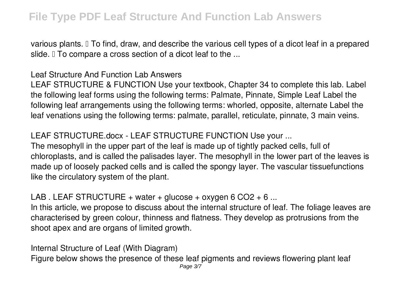various plants. I To find, draw, and describe the various cell types of a dicot leaf in a prepared slide. I To compare a cross section of a dicot leaf to the ...

## **Leaf Structure And Function Lab Answers**

LEAF STRUCTURE & FUNCTION Use your textbook, Chapter 34 to complete this lab. Label the following leaf forms using the following terms: Palmate, Pinnate, Simple Leaf Label the following leaf arrangements using the following terms: whorled, opposite, alternate Label the leaf venations using the following terms: palmate, parallel, reticulate, pinnate, 3 main veins.

## **LEAF STRUCTURE.docx - LEAF STRUCTURE FUNCTION Use your ...**

The mesophyll in the upper part of the leaf is made up of tightly packed cells, full of chloroplasts, and is called the palisades layer. The mesophyll in the lower part of the leaves is made up of loosely packed cells and is called the spongy layer. The vascular tissuefunctions like the circulatory system of the plant.

#### **LAB . LEAF STRUCTURE + water + glucose + oxygen 6 CO2 + 6 ...**

In this article, we propose to discuss about the internal structure of leaf. The foliage leaves are characterised by green colour, thinness and flatness. They develop as protrusions from the shoot apex and are organs of limited growth.

**Internal Structure of Leaf (With Diagram)**

Figure below shows the presence of these leaf pigments and reviews flowering plant leaf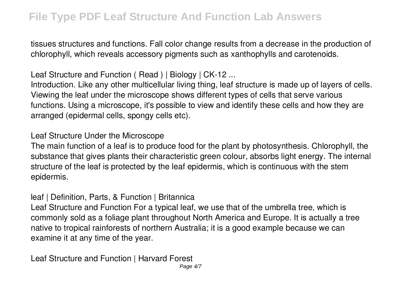tissues structures and functions. Fall color change results from a decrease in the production of chlorophyll, which reveals accessory pigments such as xanthophylls and carotenoids.

**Leaf Structure and Function ( Read ) | Biology | CK-12 ...**

Introduction. Like any other multicellular living thing, leaf structure is made up of layers of cells. Viewing the leaf under the microscope shows different types of cells that serve various functions. Using a microscope, it's possible to view and identify these cells and how they are arranged (epidermal cells, spongy cells etc).

**Leaf Structure Under the Microscope**

The main function of a leaf is to produce food for the plant by photosynthesis. Chlorophyll, the substance that gives plants their characteristic green colour, absorbs light energy. The internal structure of the leaf is protected by the leaf epidermis, which is continuous with the stem epidermis.

**leaf | Definition, Parts, & Function | Britannica**

Leaf Structure and Function For a typical leaf, we use that of the umbrella tree, which is commonly sold as a foliage plant throughout North America and Europe. It is actually a tree native to tropical rainforests of northern Australia; it is a good example because we can examine it at any time of the year.

**Leaf Structure and Function | Harvard Forest**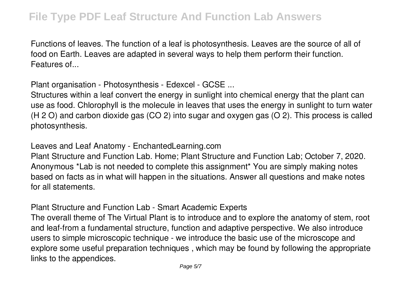Functions of leaves. The function of a leaf is photosynthesis. Leaves are the source of all of food on Earth. Leaves are adapted in several ways to help them perform their function. Features of...

**Plant organisation - Photosynthesis - Edexcel - GCSE ...**

Structures within a leaf convert the energy in sunlight into chemical energy that the plant can use as food. Chlorophyll is the molecule in leaves that uses the energy in sunlight to turn water (H 2 O) and carbon dioxide gas (CO 2) into sugar and oxygen gas (O 2). This process is called photosynthesis.

**Leaves and Leaf Anatomy - EnchantedLearning.com**

Plant Structure and Function Lab. Home; Plant Structure and Function Lab; October 7, 2020. Anonymous \*Lab is not needed to complete this assignment\* You are simply making notes based on facts as in what will happen in the situations. Answer all questions and make notes for all statements.

**Plant Structure and Function Lab - Smart Academic Experts**

The overall theme of The Virtual Plant is to introduce and to explore the anatomy of stem, root and leaf-from a fundamental structure, function and adaptive perspective. We also introduce users to simple microscopic technique - we introduce the basic use of the microscope and explore some useful preparation techniques , which may be found by following the appropriate links to the appendices.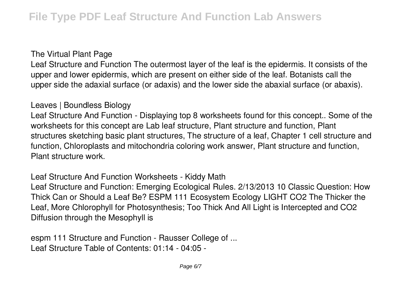#### **The Virtual Plant Page**

Leaf Structure and Function The outermost layer of the leaf is the epidermis. It consists of the upper and lower epidermis, which are present on either side of the leaf. Botanists call the upper side the adaxial surface (or adaxis) and the lower side the abaxial surface (or abaxis).

## **Leaves | Boundless Biology**

Leaf Structure And Function - Displaying top 8 worksheets found for this concept.. Some of the worksheets for this concept are Lab leaf structure, Plant structure and function, Plant structures sketching basic plant structures, The structure of a leaf, Chapter 1 cell structure and function, Chloroplasts and mitochondria coloring work answer, Plant structure and function, Plant structure work.

**Leaf Structure And Function Worksheets - Kiddy Math**

Leaf Structure and Function: Emerging Ecological Rules. 2/13/2013 10 Classic Question: How Thick Can or Should a Leaf Be? ESPM 111 Ecosystem Ecology LIGHT CO2 The Thicker the Leaf, More Chlorophyll for Photosynthesis; Too Thick And All Light is Intercepted and CO2 Diffusion through the Mesophyll is

**espm 111 Structure and Function - Rausser College of ...** Leaf Structure Table of Contents: 01:14 - 04:05 -